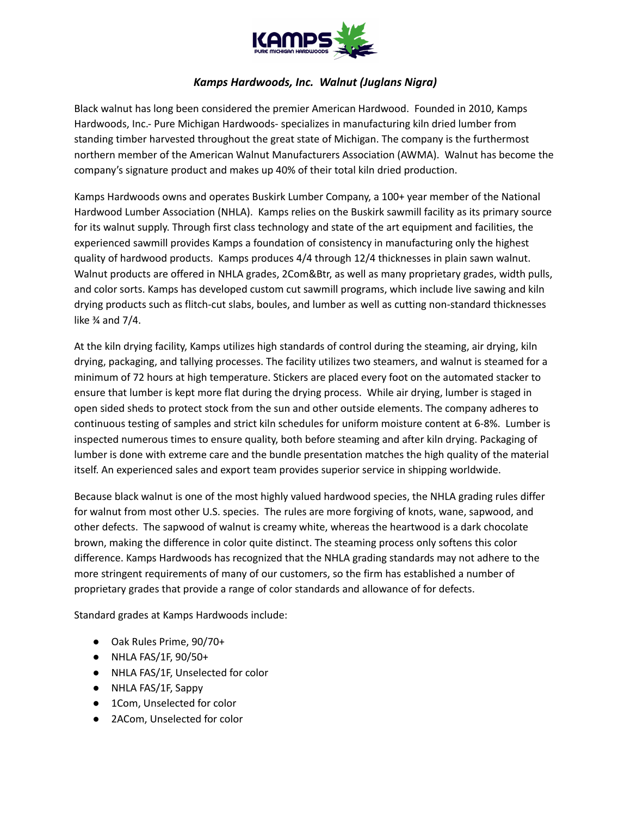

## *Kamps Hardwoods, Inc. Walnut (Juglans Nigra)*

Black walnut has long been considered the premier American Hardwood. Founded in 2010, Kamps Hardwoods, Inc.- Pure Michigan Hardwoods- specializes in manufacturing kiln dried lumber from standing timber harvested throughout the great state of Michigan. The company is the furthermost northern member of the American Walnut Manufacturers Association (AWMA). Walnut has become the company's signature product and makes up 40% of their total kiln dried production.

Kamps Hardwoods owns and operates Buskirk Lumber Company, a 100+ year member of the National Hardwood Lumber Association (NHLA). Kamps relies on the Buskirk sawmill facility as its primary source for its walnut supply. Through first class technology and state of the art equipment and facilities, the experienced sawmill provides Kamps a foundation of consistency in manufacturing only the highest quality of hardwood products. Kamps produces 4/4 through 12/4 thicknesses in plain sawn walnut. Walnut products are offered in NHLA grades, 2Com&Btr, as well as many proprietary grades, width pulls, and color sorts. Kamps has developed custom cut sawmill programs, which include live sawing and kiln drying products such as flitch-cut slabs, boules, and lumber as well as cutting non-standard thicknesses like  $\frac{3}{4}$  and  $\frac{7}{4}$ .

At the kiln drying facility, Kamps utilizes high standards of control during the steaming, air drying, kiln drying, packaging, and tallying processes. The facility utilizes two steamers, and walnut is steamed for a minimum of 72 hours at high temperature. Stickers are placed every foot on the automated stacker to ensure that lumber is kept more flat during the drying process. While air drying, lumber is staged in open sided sheds to protect stock from the sun and other outside elements. The company adheres to continuous testing of samples and strict kiln schedules for uniform moisture content at 6-8%. Lumber is inspected numerous times to ensure quality, both before steaming and after kiln drying. Packaging of lumber is done with extreme care and the bundle presentation matches the high quality of the material itself. An experienced sales and export team provides superior service in shipping worldwide.

Because black walnut is one of the most highly valued hardwood species, the NHLA grading rules differ for walnut from most other U.S. species. The rules are more forgiving of knots, wane, sapwood, and other defects. The sapwood of walnut is creamy white, whereas the heartwood is a dark chocolate brown, making the difference in color quite distinct. The steaming process only softens this color difference. Kamps Hardwoods has recognized that the NHLA grading standards may not adhere to the more stringent requirements of many of our customers, so the firm has established a number of proprietary grades that provide a range of color standards and allowance of for defects.

Standard grades at Kamps Hardwoods include:

- Oak Rules Prime, 90/70+
- NHLA FAS/1F, 90/50+
- NHLA FAS/1F, Unselected for color
- NHLA FAS/1F, Sappy
- 1Com, Unselected for color
- 2ACom, Unselected for color